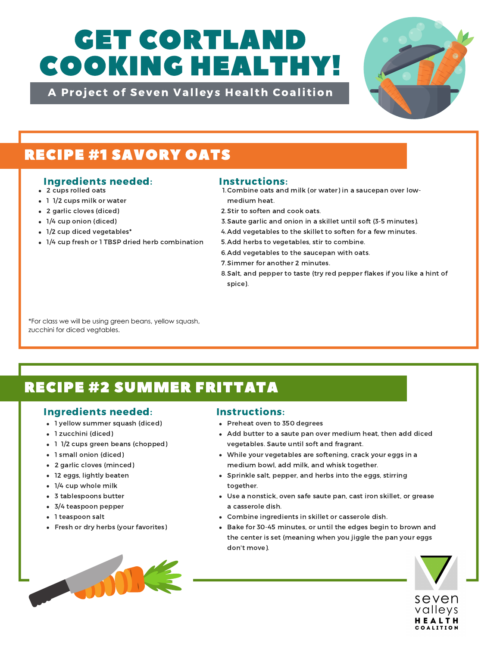# GET CORTLAND COOKING HEALTHY!

A Project of Seven Valleys Health Coalition



## RECIPE #1 SAVORY OATS

### Ingredients needed: Instructions:

- 2 cups rolled oats
- 1 1/2 cups milk or water
- 2 garlic cloves (diced)
- 1/4 cup onion (diced)
- 1/2 cup diced vegetables\*
- 1/4 cup fresh or 1 TBSP dried herb combination

- 1. Combine oats and milk (or water) in a saucepan over lowmedium heat.
- 2. Stir to soften and cook oats.
- 3. Saute garlic and onion in a skillet until soft (3-5 minutes).
- 4. Add vegetables to the skillet to soften for a few minutes.
- 5. Add herbs to vegetables, stir to combine.
- 6. Add vegetables to the saucepan with oats.
- 7. Simmer for another 2 minutes.
- Salt, and pepper to taste (try red pepper flakes if you like a hint of 8. spice).

\*For class we will be using green beans, yellow squash, zucchini for diced vegtables.

# RECIPE #2 SUMMER FRITTATA

## Ingredients needed: Instructions:

- 1 yellow summer squash (diced)
- 1 zucchini (diced)
- 1 1/2 cups green beans (chopped)
- 1 small onion (diced)
- 2 garlic cloves (minced)
- 12 eggs, lightly beaten
- 1/4 cup whole milk
- 3 tablespoons butter
- 3/4 teaspoon pepper
- 1 teaspoon salt
- Fresh or dry herbs (your favorites)



- Preheat oven to 350 degrees
- Add butter to a saute pan over medium heat, then add diced vegetables. Saute until soft and fragrant.
- While your vegetables are softening, crack your eggs in a medium bowl, add milk, and whisk together.
- Sprinkle salt, pepper, and herbs into the eggs, stirring together.
- Use a nonstick, oven safe saute pan, cast iron skillet, or grease a casserole dish.
- Combine ingredients in skillet or casserole dish.
- Bake for 30-45 minutes, or until the edges begin to brown and the center is set (meaning when you jiggle the pan your eggs don't move).